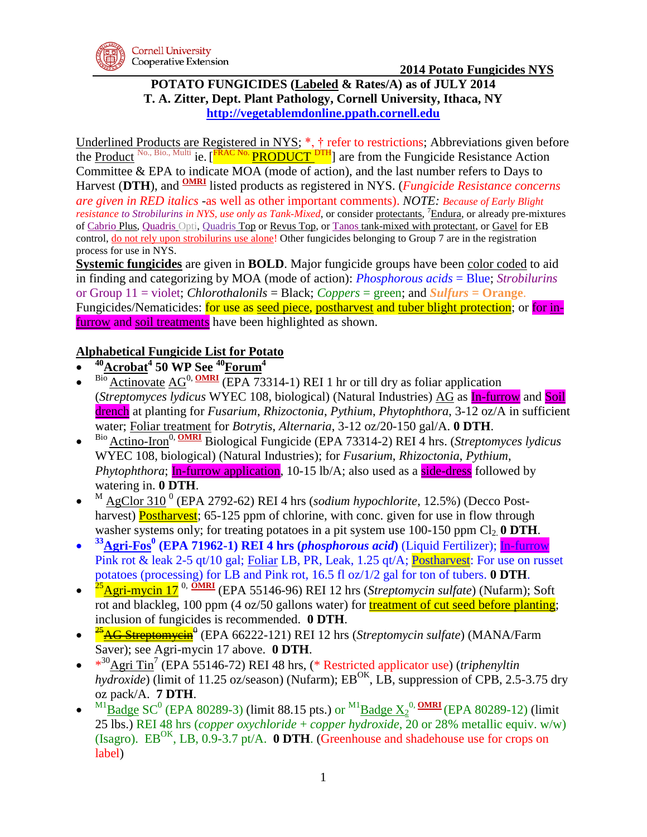

### **POTATO FUNGICIDES (Labeled & Rates/A) as of JULY 2014 T. A. Zitter, Dept. Plant Pathology, Cornell University, Ithaca, NY [http://vegetablemdonline.ppath.cornell.edu](http://vegetablemdonline.ppath.cornell.edu/)**

Underlined Products are Registered in NYS; \*, † refer to restrictions; Abbreviations given before the Product <sup>No., Bio., Multi ie. [FRAC No.</sup> PRODUCT <sup>DTH</sup>] are from the Fungicide Resistance Action Committee & EPA to indicate MOA (mode of action), and the last number refers to Days to Harvest (DTH), and **OMRI** listed products as registered in NYS. (*Fungicide Resistance concerns are given in RED italics -*as well as other important comments). *NOTE: Because of Early Blight resistance to Strobilurins in NYS, use only as Tank-Mixed*, or consider protectants, <sup>7</sup>Endura, or already pre-mixtures of Cabrio Plus, Quadris Opti, Quadris Top or Revus Top, or Tanos tank-mixed with protectant, or Gavel for EB control, do not rely upon strobilurins use alone! Other fungicides belonging to Group 7 are in the registration process for use in NYS.

**Systemic fungicides** are given in **BOLD**. Major fungicide groups have been color coded to aid in finding and categorizing by MOA (mode of action): *Phosphorous acids* = Blue; *Strobilurins* or Group 11 = violet; *Chlorothalonils* = Black; *Coppers* = green; and *Sulfurs* **= Orange**. Fungicides/Nematicides: for use as seed piece, postharvest and tuber blight protection; or for infurrow and soil treatments have been highlighted as shown.

# **Alphabetical Fungicide List for Potato**

- $\bullet$ **<sup>40</sup>Acrobat<sup>4</sup> 50 WP See <sup>40</sup>Forum<sup>4</sup>**
- $\bullet$ Bio Actinovate AG<sup>0, OMRI</sup> (EPA 73314-1) REI 1 hr or till dry as foliar application (*Streptomyces lydicus* WYEC 108, biological) (Natural Industries) AG as In-furrow and Soil drench at planting for *Fusarium*, *Rhizoctonia*, *Pythium*, *Phytophthora*, 3-12 oz/A in sufficient water; Foliar treatment for *Botrytis*, *Alternaria*, 3-12 oz/20-150 gal/A. **0 DTH**.
- $\bullet$ Bio Actino-Iron<sup>0, **OMRI** Biological Fungicide (EPA 73314-2) REI 4 hrs. (*Streptomyces lydicus*</sup> WYEC 108, biological) (Natural Industries); for *Fusarium*, *Rhizoctonia*, *Pythium*, *Phytophthora*; In-furrow application, 10-15 lb/A; also used as a side-dress followed by watering in. **0 DTH**.
- $\bullet$ <sup>M</sup> AgClor 310<sup>0</sup> (EPA 2792-62) REI 4 hrs (*sodium hypochlorite*, 12.5%) (Decco Postharvest) **Postharvest**; 65-125 ppm of chlorine, with conc. given for use in flow through washer systems only; for treating potatoes in a pit system use  $100-150$  ppm  $Cl_2$  **0 DTH**.
- $\bullet$ **<sup>33</sup>Agri-Fos<sup>0</sup> (EPA 71962-1) REI 4 hrs (***phosphorous acid***)** (Liquid Fertilizer); In-furrow Pink rot & leak 2-5 qt/10 gal; Foliar LB, PR, Leak, 1.25 qt/A; Postharvest: For use on russet potatoes (processing) for LB and Pink rot, 16.5 fl oz/1/2 gal for ton of tubers. **0 DTH**.
- $\bullet$ <sup>25</sup>Agri-mycin 17 0, **OMRI** (EPA 55146-96) REI 12 hrs (*Streptomycin sulfate*) (Nufarm); Soft rot and blackleg, 100 ppm (4 oz/50 gallons water) for treatment of cut seed before planting; inclusion of fungicides is recommended. **0 DTH**.
- $\bullet$ <sup>25</sup><sup>AG Streptomycin<sup>0</sup> (EPA 66222-121) REI 12 hrs (*Streptomycin sulfate*) (MANA/Farm</sup> Saver); see Agri-mycin 17 above. **0 DTH**.
- $*^{30}$ <u>Agri Tin<sup>7</sup></u> (EPA 55146-72) REI 48 hrs, (\* Restricted applicator use) (*triphenyltin*  $h\sqrt{d\cos(de)}}$  (limit of 11.25 oz/season) (Nufarm); EB<sup>OK</sup>, LB, suppression of CPB, 2.5-3.75 dry oz pack/A. **7 DTH**.
- $\bullet$  $^{M1}$ Badge SC<sup>0</sup> (EPA 80289-3) (limit 88.15 pts.) or  $^{M1}$ Badge  $\chi_2^{0}$ , **OMRI** (EPA 80289-12) (limit 25 lbs.) REI 48 hrs (*copper oxychloride* + *copper hydroxide*, 20 or 28% metallic equiv. w/w) (Isagro).  $EB^{OK}$ , LB,  $0.9-3.7$  pt/A. **0 DTH**. (Greenhouse and shadehouse use for crops on label)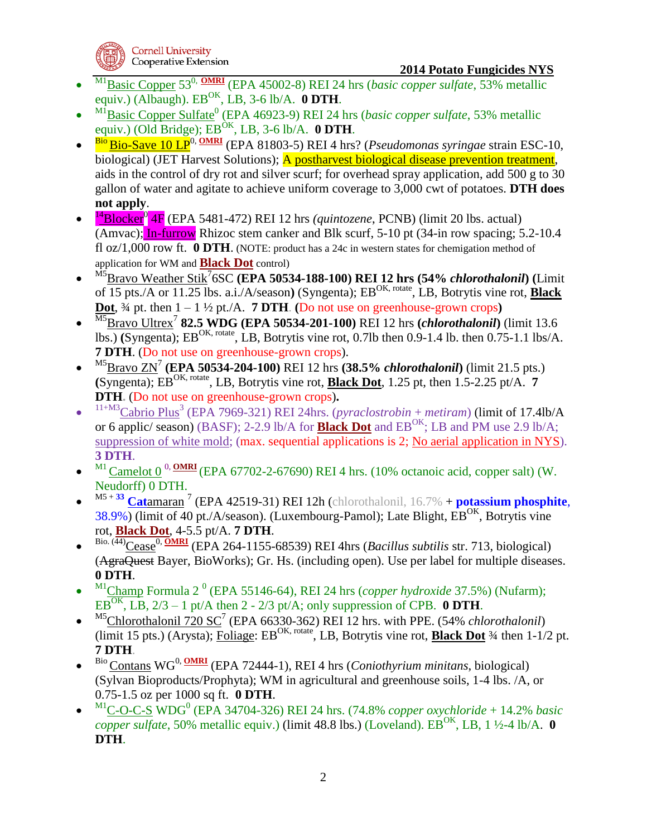

- $\bullet$ M1Basic Copper 530, **OMRI** (EPA 45002-8) REI 24 hrs (*basic copper sulfate*, 53% metallic equiv.) (Albaugh).  $EB^{OK}$ , LB, 3-6 lb/A. **0 DTH**.
- $\bullet$ <sup>M1</sup>Basic Copper Sulfate<sup>0</sup> (EPA 46923-9) REI 24 hrs (*basic copper sulfate*, 53% metallic equiv.) (Old Bridge);  $EB^{OK}$ , LB, 3-6 lb/A. **0 DTH**.
- $\bullet$ <sup>Bio</sup> Bio-Save 10 LP<sup>0, OMRI</sup> (EPA 81803-5) REI 4 hrs? (*Pseudomonas syringae* strain ESC-10, biological) (JET Harvest Solutions); A postharvest biological disease prevention treatment, aids in the control of dry rot and silver scurf; for overhead spray application, add 500 g to 30 gallon of water and agitate to achieve uniform coverage to 3,000 cwt of potatoes. **DTH does not apply**.
- $\bullet$ <sup>14</sup>Blocker<sup>0</sup> 4F (EPA 5481-472) REI 12 hrs *(quintozene*, PCNB) (limit 20 lbs. actual) (Amvac); In-furrow Rhizoc stem canker and Blk scurf, 5-10 pt (34-in row spacing; 5.2-10.4 fl oz/1,000 row ft. **0 DTH**. (NOTE: product has a 24c in western states for chemigation method of application for WM and **Black Dot** control)
- $\bullet$ M5Bravo Weather Stik<sup>7</sup> 6SC **(EPA 50534-188-100) REI 12 hrs (54%** *chlorothalonil***) (**Limit of 15 pts./A or 11.25 lbs. a.i./A/season**)** (Syngenta); EBOK, rotate, LB, Botrytis vine rot, **Black Dot**,  $\frac{3}{4}$  pt. then  $1 - 1 \frac{1}{2}$  pt./A. **7 DTH**. **(Do not use on greenhouse-grown crops)**
- $\bullet$ M5Bravo Ultrex<sup>7</sup> **82.5 WDG (EPA 50534-201-100)** REI 12 hrs **(***chlorothalonil***)** (limit 13.6 lbs.) **(Syngenta)**; EB<sup>OK, rotate</sup>, LB, Botrytis vine rot, 0.7lb then 0.9-1.4 lb. then 0.75-1.1 lbs/A. **7 DTH**. (Do not use on greenhouse-grown crops).
- $\bullet$ M5Bravo ZN<sup>7</sup> **(EPA 50534-204-100)** REI 12 hrs **(38.5%** *chlorothalonil***)** (limit 21.5 pts.) **(Syngenta); EB<sup>OK, rotate</sup>, LB, Botrytis vine rot, <b>Black Dot**, 1.25 pt, then 1.5-2.25 pt/A. **7 DTH.** (Do not use on greenhouse-grown crops)**.**
- $\bullet$ <sup>11+M3</sup>Cabrio Plus<sup>3</sup> (EPA 7969-321) REI 24hrs. (*pyraclostrobin* + *metiram*) (limit of 17.4lb/A or 6 applic/ season) (BASF); 2-2.9 lb/A for **Black Dot** and  $EB^{OK}$ ; LB and PM use 2.9 lb/A; suppression of white mold; (max. sequential applications is 2; No aerial application in NYS). **3 DTH**.
- $\bullet$ <sup>M1</sup> Camelot 0<sup>0, **OMRI** (EPA 67702-2-67690) REI 4 hrs. (10% octanoic acid, copper salt) (W.</sup> Neudorff) 0 DTH.
- $\bullet$ M5 + **<sup>33</sup> Cat**amaran 7 (EPA 42519-31) REI 12h (chlorothalonil, 16.7% + **potassium phosphite**,  $38.9\%$ ) (limit of 40 pt./A/season). (Luxembourg-Pamol); Late Blight,  $EB^{OK}$ , Botrytis vine rot, **Black Dot**, 4-5.5 pt/A. **7 DTH**.
- $\bullet$ Bio. (44)Cease<sup>0, OMRI</sup> (EPA 264-1155-68539) REI 4hrs (*Bacillus subtilis* str. 713, biological) (AgraQuest Bayer, BioWorks); Gr. Hs. (including open). Use per label for multiple diseases. **0 DTH**.
- $\bullet$ <sup>M1</sup>Champ Formula 2<sup>0</sup> (EPA 55146-64), REI 24 hrs (*copper hydroxide* 37.5%) (Nufarm); EB<sup>OK</sup>, LB,  $2/3 - 1$  pt/A then 2 - 2/3 pt/A; only suppression of CPB. 0 DTH.
- $\bullet$ <sup>M5</sup>Chlorothalonil 720 SC<sup>7</sup> (EPA 66330-362) REI 12 hrs. with PPE. (54% *chlorothalonil*) (limit 15 pts.) (Arysta); Foliage:  $EB^{OK, rotate}$ , LB, Botrytis vine rot, **Black Dot**  $\frac{3}{4}$  then 1-1/2 pt. **7 DTH**.
- $\bullet$ Bio Contans WG0, **OMRI** (EPA 72444-1), REI 4 hrs (*Coniothyrium minitans*, biological) (Sylvan Bioproducts/Prophyta); WM in agricultural and greenhouse soils, 1-4 lbs. /A, or 0.75-1.5 oz per 1000 sq ft. **0 DTH**.
- $\bullet$ <sup>M1</sup>C-O-C-S WDG<sup>0</sup> (EPA 34704-326) REI 24 hrs. (74.8% *copper oxychloride* + 14.2% *basic copper sulfate*, 50% metallic equiv.) (limit 48.8 lbs.) (Loveland). EB<sup>OK</sup>, LB, 1 ½-4 lb/A. 0 **DTH**.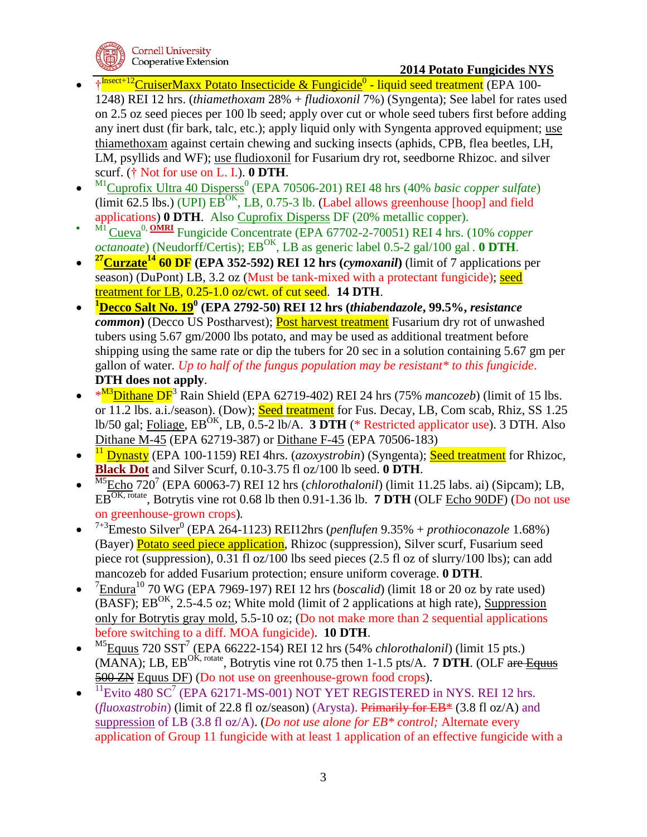

### **2014 Potato Fungicides NYS**

- <sup>†</sup> <sup>Insect+12</sup> Cruiser Maxx Potato Insecticide & Fungicide<sup>0</sup> liquid seed treatment (EPA 100-1248) REI 12 hrs. (*thiamethoxam* 28% + *fludioxonil* 7%) (Syngenta); See label for rates used on 2.5 oz seed pieces per 100 lb seed; apply over cut or whole seed tubers first before adding any inert dust (fir bark, talc, etc.); apply liquid only with Syngenta approved equipment; use thiamethoxam against certain chewing and sucking insects (aphids, CPB, flea beetles, LH, LM, psyllids and WF); use fludioxonil for Fusarium dry rot, seedborne Rhizoc. and silver scurf. († Not for use on L. I.). **0 DTH**.
- $\bullet$ <sup>M1</sup>Cuprofix Ultra 40 Disperss<sup>0</sup> (EPA 70506-201) REI 48 hrs (40% *basic copper sulfate*) (limit 62.5 lbs.) (UPI)  $\overline{EB^{OK}}$ , LB, 0.75-3 lb. (Label allows greenhouse [hoop] and field applications) **0 DTH**. Also Cuprofix Disperss DF (20% metallic copper).
- M1 Cueva0, **OMRI** Fungicide Concentrate (EPA 67702-2-70051) REI 4 hrs. (10% *copper octanoate*) (Neudorff/Certis);  $EB^{OK}$ , LB as generic label 0.5-2 gal/100 gal . **0 DTH**.
- $\bullet$ **<sup>27</sup>Curzate<sup>14</sup> 60 DF (EPA 352-592) REI 12 hrs (***cymoxanil***)** (limit of 7 applications per season) (DuPont) LB, 3.2 oz (Must be tank-mixed with a protectant fungicide); seed treatment for LB, 0.25-1.0 oz/cwt. of cut seed. **14 DTH**.
- $\bullet$ **<sup>1</sup>Decco Salt No. 19<sup>0</sup> (EPA 2792-50) REI 12 hrs (***thiabendazole***, 99.5%,** *resistance common*) (Decco US Postharvest); **Post harvest treatment** Fusarium dry rot of unwashed tubers using 5.67 gm/2000 lbs potato, and may be used as additional treatment before shipping using the same rate or dip the tubers for 20 sec in a solution containing 5.67 gm per gallon of water. *Up to half of the fungus population may be resistant\* to this fungicide*. **DTH does not apply**.
- \*<sup>M3</sup>Dithane DF<sup>3</sup> Rain Shield (EPA 62719-402) REI 24 hrs (75% *mancozeb*) (limit of 15 lbs. or 11.2 lbs. a.i./season). (Dow); Seed treatment for Fus. Decay, LB, Com scab, Rhiz, SS 1.25 lb/50 gal; Foliage,  $EB^{OK}$ , LB,  $0.5-2$  lb/A. **3 DTH** (\* Restricted applicator use). 3 DTH. Also Dithane M-45 (EPA 62719-387) or Dithane F-45 (EPA 70506-183)
- $\bullet$ <sup>11</sup> Dynasty (EPA 100-1159) REI 4hrs. (*azoxystrobin*) (Syngenta); Seed treatment for Rhizoc, **Black Dot** and Silver Scurf, 0.10-3.75 fl oz/100 lb seed. **0 DTH**.
- $\bullet$ <sup>M5</sup>Echo 720<sup>7</sup> (EPA 60063-7) REI 12 hrs (*chlorothalonil*) (limit 11.25 labs. ai) (Sipcam); LB, EBOK, rotate, Botrytis vine rot 0.68 lb then 0.91-1.36 lb. **7 DTH** (OLF Echo 90DF) (Do not use on greenhouse-grown crops)*.*
- $\bullet$ <sup>7+3</sup>Emesto Silver<sup>0</sup> (EPA 264-1123) REI12hrs (*penflufen* 9.35% + *prothioconazole* 1.68%) (Bayer) Potato seed piece application, Rhizoc (suppression), Silver scurf, Fusarium seed piece rot (suppression), 0.31 fl oz/100 lbs seed pieces (2.5 fl oz of slurry/100 lbs); can add mancozeb for added Fusarium protection; ensure uniform coverage. **0 DTH**.
- $\bullet$  $7 \text{Endura}^{10}$  70 WG (EPA 7969-197) REI 12 hrs (*boscalid*) (limit 18 or 20 oz by rate used)  $(BASF)$ ; EB<sup>OK</sup>, 2.5-4.5 oz; White mold (limit of 2 applications at high rate), Suppression only for Botrytis gray mold, 5.5-10 oz; (Do not make more than 2 sequential applications before switching to a diff. MOA fungicide). **10 DTH**.
- $\bullet$ <sup>M5</sup>Equus 720 SST<sup>7</sup> (EPA 66222-154) REI 12 hrs (54% *chlorothalonil*) (limit 15 pts.)  $(MANA)$ ; LB,  $EB^{OK, rotate}$ , Botrytis vine rot 0.75 then 1-1.5 pts/A. **7 DTH**. (OLF are Equus 500 ZN Equus DF) (Do not use on greenhouse-grown food crops).
- $\bullet$  $11$ Evito 480 SC<sup>7</sup> (EPA 62171-MS-001) NOT YET REGISTERED in NYS. REI 12 hrs. (*fluoxastrobin*) (limit of 22.8 fl oz/season) (Arysta). Primarily for EB\* (3.8 fl oz/A) and suppression of LB (3.8 fl oz/A). (*Do not use alone for EB\* control;* Alternate every application of Group 11 fungicide with at least 1 application of an effective fungicide with a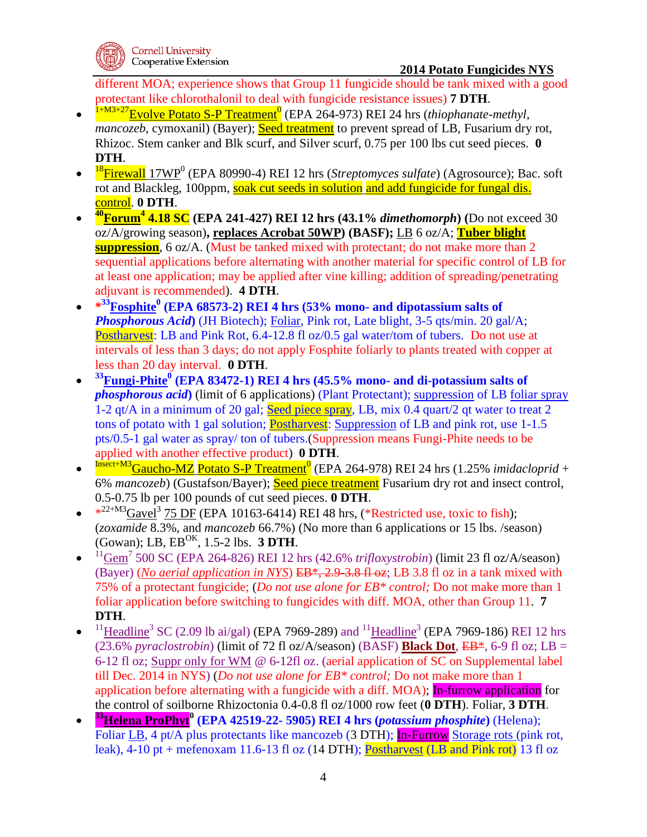

different MOA; experience shows that Group 11 fungicide should be tank mixed with a good protectant like chlorothalonil to deal with fungicide resistance issues) **7 DTH**.

- $\bullet$ <sup>1+M3+27</sup>Evolve Potato S-P Treatment<sup>0</sup> (EPA 264-973) REI 24 hrs (*thiophanate-methyl*, *mancozeb*, cymoxanil) (Bayer); **Seed treatment** to prevent spread of LB, Fusarium dry rot, Rhizoc. Stem canker and Blk scurf, and Silver scurf, 0.75 per 100 lbs cut seed pieces. **0 DTH**.
- $\bullet$ <sup>18</sup>Firewall 17WP<sup>0</sup> (EPA 80990-4) REI 12 hrs (*Streptomyces sulfate*) (Agrosource); Bac. soft rot and Blackleg, 100ppm, soak cut seeds in solution and add fungicide for fungal dis. control. **0 DTH**.
- $\bullet$ **<sup>40</sup>Forum<sup>4</sup> 4.18 SC (EPA 241-427) REI 12 hrs (43.1%** *dimethomorph***) (**Do not exceed 30 oz/A/growing season)**, replaces Acrobat 50WP) (BASF);** LB 6 oz/A; **Tuber blight suppression**, 6 oz/A. (Must be tanked mixed with protectant; do not make more than 2 sequential applications before alternating with another material for specific control of LB for at least one application; may be applied after vine killing; addition of spreading/penetrating adjuvant is recommended). **4 DTH**.
- **\* <sup>33</sup>Fosphite<sup>0</sup> (EPA 68573-2) REI 4 hrs (53% mono- and dipotassium salts of**  *Phosphorous Acid***)** (JH Biotech); Foliar, Pink rot, Late blight, 3-5 qts/min. 20 gal/A; Postharvest: LB and Pink Rot, 6.4-12.8 fl oz/0.5 gal water/tom of tubers. Do not use at intervals of less than 3 days; do not apply Fosphite foliarly to plants treated with copper at less than 20 day interval. **0 DTH**.
- $\bullet$ **<sup>33</sup>Fungi-Phite<sup>0</sup> (EPA 83472-1) REI 4 hrs (45.5% mono- and di-potassium salts of**  *phosphorous acid***)** (limit of 6 applications) (Plant Protectant); suppression of LB foliar spray 1-2 qt/A in a minimum of 20 gal; Seed piece spray, LB, mix 0.4 quart/2 qt water to treat 2 tons of potato with 1 gal solution; **Postharvest**: Suppression of LB and pink rot, use 1-1.5 pts/0.5-1 gal water as spray/ ton of tubers.(Suppression means Fungi-Phite needs to be applied with another effective product) **0 DTH**.
- $\bullet$ <sup>Insect+M3</sup>Gaucho-MZ Potato S-P Treatment<sup>0</sup> (EPA 264-978) REI 24 hrs (1.25% *imidacloprid* + 6% *mancozeb*) (Gustafson/Bayer); Seed piece treatment Fusarium dry rot and insect control, 0.5-0.75 lb per 100 pounds of cut seed pieces. **0 DTH**.
- $*^{22+M3}$ Gavel<sup>3</sup> 75 DF (EPA 10163-6414) REI 48 hrs, (\*Restricted use, toxic to fish); (*zoxamide* 8.3%, and *mancozeb* 66.7%) (No more than 6 applications or 15 lbs. /season) (Gowan); LB, EBOK, 1.5-2 lbs. **3 DTH**.
- $\bullet$  $11$ <sub>Gem</sub><sup>7</sup> 500 SC (EPA 264-826) REI 12 hrs (42.6% *trifloxystrobin*) (limit 23 fl oz/A/season) (Bayer) (*No aerial application in NYS*) EB\*, 2.9-3.8 fl oz; LB 3.8 fl oz in a tank mixed with 75% of a protectant fungicide; (*Do not use alone for EB\* control;* Do not make more than 1 foliar application before switching to fungicides with diff. MOA, other than Group 11. **7 DTH**.
- $\bullet$ <sup>11</sup>Headline<sup>3</sup> SC (2.09 lb ai/gal) (EPA 7969-289) and <sup>11</sup>Headline<sup>3</sup> (EPA 7969-186) REI 12 hrs (23.6% *pyraclostrobin*) (limit of 72 fl oz/A/season) (BASF) **Black Dot**,  $EB*$ , 6-9 fl oz;  $LB =$ 6-12 fl oz; Suppr only for WM @ 6-12fl oz. (aerial application of SC on Supplemental label till Dec. 2014 in NYS) (*Do not use alone for EB\* control;* Do not make more than 1 application before alternating with a fungicide with a diff. MOA); In-furrow application for the control of soilborne Rhizoctonia 0.4-0.8 fl oz/1000 row feet (**0 DTH**). Foliar, **3 DTH**.
- $\bullet$ **<sup>33</sup>Helena ProPhyt<sup>0</sup> (EPA 42519-22- 5905) REI 4 hrs (***potassium phosphite***)** (Helena); Foliar LB, 4 pt/A plus protectants like mancozeb (3 DTH); In-Furrow Storage rots (pink rot, leak), 4-10 pt + mefenoxam 11.6-13 fl oz (14 DTH); Postharvest (LB and Pink rot) 13 fl oz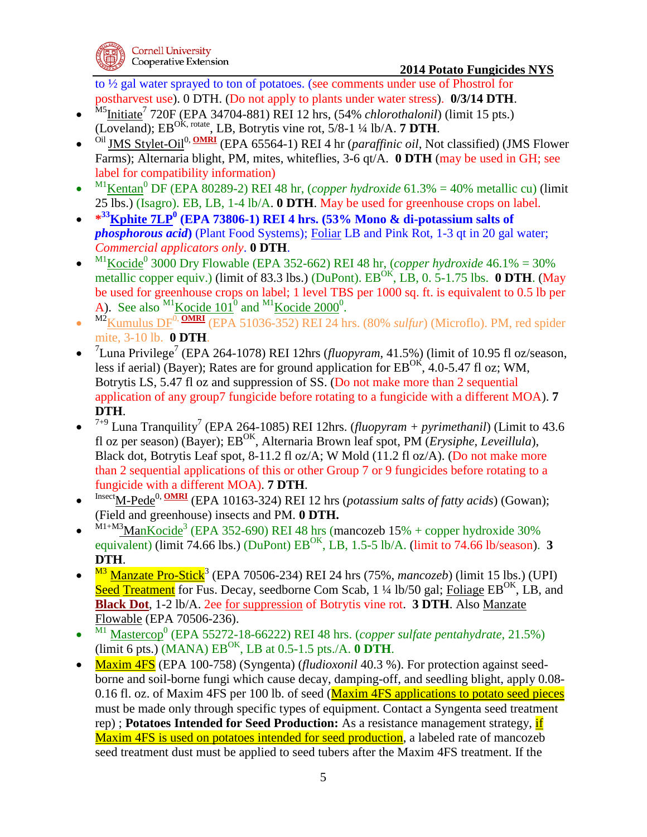

to ½ gal water sprayed to ton of potatoes. (see comments under use of Phostrol for postharvest use). 0 DTH. (Do not apply to plants under water stress). **0/3/14 DTH**.

- $\bullet$ <sup>M5</sup>Initiate<sup>7</sup> 720F (EPA 34704-881) REI 12 hrs, (54% *chlorothalonil*) (limit 15 pts.) (Loveland); EBOK, rotate, LB, Botrytis vine rot, 5/8-1 ¼ lb/A. **7 DTH**.
- $\bullet$ <sup>Oil</sup> JMS Stylet-Oil<sup>0, OMRI</sup> (EPA 65564-1) REI 4 hr (*paraffinic oil*, Not classified) (JMS Flower Farms); Alternaria blight, PM, mites, whiteflies, 3-6 qt/A. **0 DTH** (may be used in GH; see label for compatibility information)
- $\bullet$ <sup>M1</sup>Kentan<sup>0</sup> DF (EPA 80289-2) REI 48 hr, (*copper hydroxide* 61.3% = 40% metallic cu) (limit 25 lbs.) (Isagro). EB, LB, 1-4 lb/A. **0 DTH**. May be used for greenhouse crops on label*.*
- $\bullet$   $*^{33}$ **Kphite**  $7LP^0$  (EPA 73806-1) REI 4 hrs. (53% Mono & di-potassium salts of *phosphorous acid***)** (Plant Food Systems); Foliar LB and Pink Rot, 1-3 qt in 20 gal water; *Commercial applicators only*. **0 DTH**.
- $\bullet$  $^{M1}$ Kocide<sup>0</sup> 3000 Dry Flowable (EPA 352-662) REI 48 hr, (*copper hydroxide* 46.1% = 30% metallic copper equiv.) (limit of 83.3 lbs.) (DuPont). EB<sup>OK</sup>, LB, 0. 5-1.75 lbs. **0 DTH**. (May be used for greenhouse crops on label; 1 level TBS per 1000 sq. ft. is equivalent to 0.5 lb per A). See also  $^{M1}$ Kocide 101<sup>0</sup> and  $^{M1}$ Kocide 2000<sup>0</sup>.
- $\bullet$ <sup>M2</sup>Kumulus DF<sup>0, **OMRI** (EPA 51036-352) REI 24 hrs. (80% *sulfur*) (Microflo). PM, red spider</sup> mite, 3-10 lb. **0 DTH**.
- $\bullet$ <sup>7</sup>Luna Privilege<sup>7</sup> (EPA 264-1078) REI 12hrs (*fluopyram*, 41.5%) (limit of 10.95 fl oz/season, less if aerial) (Bayer); Rates are for ground application for  $EB^{OK}$ , 4.0-5.47 fl oz; WM, Botrytis LS, 5.47 fl oz and suppression of SS. (Do not make more than 2 sequential application of any group7 fungicide before rotating to a fungicide with a different MOA). **7 DTH**.
- $\bullet$ <sup>7+9</sup> Luna Tranquility<sup>7</sup> (EPA 264-1085) REI 12hrs. (*fluopyram + pyrimethanil*) (Limit to 43.6 fl oz per season) (Bayer); EB<sup>OK</sup>, Alternaria Brown leaf spot, PM (*Erysiphe, Leveillula*), Black dot, Botrytis Leaf spot, 8-11.2 fl oz/A; W Mold (11.2 fl oz/A). (Do not make more than 2 sequential applications of this or other Group 7 or 9 fungicides before rotating to a fungicide with a different MOA). **7 DTH**.
- $\bullet$ Insect<sub>M-Pede</sub><sup>0, <u>OMRI</u> (EPA 10163-324) REI 12 hrs (*potassium salts of fatty acids*) (Gowan);</sup> (Field and greenhouse) insects and PM. **0 DTH.**
- $\bullet$  $^{M1+M3}$ ManKocide<sup>3</sup> (EPA 352-690) REI 48 hrs (mancozeb 15% + copper hydroxide 30% equivalent) (limit 74.66 lbs.) (DuPont)  $EB^{OK}$ , LB, 1.5-5 lb/A. (limit to 74.66 lb/season). **3 DTH**.
- $\bullet$ <sup>M3</sup> Manzate Pro-Stick<sup>3</sup> (EPA 70506-234) REI 24 hrs (75%, *mancozeb*) (limit 15 lbs.) (UPI) Seed Treatment for Fus. Decay, seedborne Com Scab,  $1\frac{1}{4}$  lb/50 gal; Foliage EB<sup>OK</sup>, LB, and **Black Dot**, 1-2 lb/A. 2ee for suppression of Botrytis vine rot. **3 DTH**. Also Manzate Flowable (EPA 70506-236).
- $\bullet$ <sup>M1</sup> Mastercop<sup>0</sup> (EPA 55272-18-66222) REI 48 hrs. (*copper sulfate pentahydrate*, 21.5%)  $(\text{limit 6 pts.})$   $(\text{MANA})$   $EB^{OK}$ ,  $LB$  at  $0.5$ -1.5 pts./A. **0 DTH**.
- Maxim 4FS (EPA 100-758) (Syngenta) (*fludioxonil* 40.3 %). For protection against seedborne and soil-borne fungi which cause decay, damping-off, and seedling blight, apply 0.08- 0.16 fl. oz. of Maxim 4FS per 100 lb. of seed (Maxim 4FS applications to potato seed pieces must be made only through specific types of equipment. Contact a Syngenta seed treatment rep) ; **Potatoes Intended for Seed Production:** As a resistance management strategy, if Maxim 4FS is used on potatoes intended for seed production, a labeled rate of mancozeb seed treatment dust must be applied to seed tubers after the Maxim 4FS treatment. If the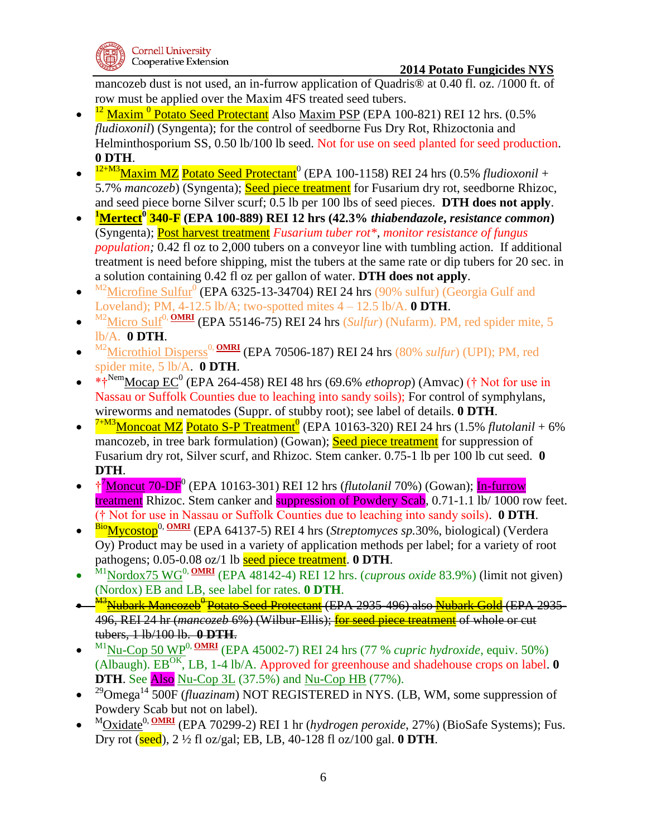

mancozeb dust is not used, an in-furrow application of Quadris® at 0.40 fl. oz. /1000 ft. of row must be applied over the Maxim 4FS treated seed tubers.

- $\bullet$ <sup>12</sup> Maxim<sup>0</sup> Potato Seed Protectant Also Maxim PSP (EPA 100-821) REI 12 hrs. (0.5% *fludioxonil*) (Syngenta); for the control of seedborne Fus Dry Rot, Rhizoctonia and Helminthosporium SS, 0.50 lb/100 lb seed. Not for use on seed planted for seed production. **0 DTH**.
- $\bullet$ <sup>12+M3</sup>Maxim MZ Potato Seed Protectant<sup>0</sup> (EPA 100-1158) REI 24 hrs (0.5% *fludioxonil* + 5.7% *mancozeb*) (Syngenta); Seed piece treatment for Fusarium dry rot, seedborne Rhizoc, and seed piece borne Silver scurf; 0.5 lb per 100 lbs of seed pieces. **DTH does not apply**.
- $\bullet$ **<sup>1</sup>Mertect<sup>0</sup> 340-F (EPA 100-889) REI 12 hrs (42.3%** *thiabendazole***,** *resistance common***)** (Syngenta); Post harvest treatment *Fusarium tuber rot\**, *monitor resistance of fungus population;* 0.42 fl oz to 2,000 tubers on a conveyor line with tumbling action. If additional treatment is need before shipping, mist the tubers at the same rate or dip tubers for 20 sec. in a solution containing 0.42 fl oz per gallon of water. **DTH does not apply**.
- $\bullet$  $^{M2}$ Microfine Sulfur<sup>0</sup> (EPA 6325-13-34704) REI 24 hrs (90% sulfur) (Georgia Gulf and Loveland); PM,  $4-12.5$  lb/A; two-spotted mites  $4-12.5$  lb/A. **0 DTH**.
- $\bullet$  $^{M2}$ Micro Sulf<sup>0, **OMRI** (EPA 55146-75) REI 24 hrs (*Sulfur*) (Nufarm). PM, red spider mite, 5</sup> lb/A. **0 DTH**.
- $\bullet$ <sup>M2</sup>Microthiol Disperss<sup>0, **OMRI** (EPA 70506-187) REI 24 hrs (80% *sulfur*) (UPI): PM, red</sup> spider mite, 5 lb/A. **0 DTH**.
- $*$ <sup>Nem</sup>Mocap EC<sup>0</sup> (EPA 264-458) REI 48 hrs (69.6% *ethoprop*) (Amvac) († Not for use in Nassau or Suffolk Counties due to leaching into sandy soils); For control of symphylans, wireworms and nematodes (Suppr. of stubby root); see label of details. **0 DTH**.
- $\bullet$ <sup>7+M3</sup>Moncoat MZ Potato S-P Treatment<sup>0</sup> (EPA 10163-320) REI 24 hrs (1.5% *flutolanil* + 6% mancozeb, in tree bark formulation) (Gowan); Seed piece treatment for suppression of Fusarium dry rot, Silver scurf, and Rhizoc. Stem canker. 0.75-1 lb per 100 lb cut seed. **0 DTH**.
- <sup>†</sup><sup>7</sup>Moncut 70-DF<sup>0</sup> (EPA 10163-301) REI 12 hrs (*flutolanil* 70%) (Gowan); In-furrow treatment Rhizoc. Stem canker and **suppression of Powdery Scab**, 0.71-1.1 Ib/ 1000 row feet. († Not for use in Nassau or Suffolk Counties due to leaching into sandy soils). **0 DTH**.
- $\bullet$ BioMycostop0, **OMRI** (EPA 64137-5) REI 4 hrs (*Streptomyces sp.*30%, biological) (Verdera Oy) Product may be used in a variety of application methods per label; for a variety of root pathogens; 0.05-0.08 oz/1 lb seed piece treatment. **0 DTH**.
- $\bullet$ M<sub>1</sub>Nordox75 WG<sup>0, OMRI</sup> (EPA 48142-4) REI 12 hrs. (*cuprous oxide* 83.9%) (limit not given) (Nordox) EB and LB, see label for rates. **0 DTH**.
- $\bullet$ <sup>M3</sup><u>Nubark Mancozeb<sup>0</sup> Potato Seed Protectant</u> (EPA 2935-496) also <mark>Nubark Gold</mark> (EPA 2935-496, REI 24 hr (*mancozeb* 6%) (Wilbur-Ellis); for seed piece treatment of whole or cut tubers, 1 lb/100 lb. **0 DTH**.
- $\bullet$  $^{M1}$ Nu-Cop 50 WP<sup>0, <u>OMRI</u> (EPA 45002-7) REI 24 hrs (77 % *cupric hydroxide*, equiv. 50%)</sup> (Albaugh). EBOK, LB, 1-4 lb/A. Approved for greenhouse and shadehouse crops on label. **0 DTH**. See Also Nu-Cop 3L (37.5%) and Nu-Cop HB (77%).
- $\bullet$ <sup>29</sup>Omega<sup>14</sup> 500F (*fluazinam*) NOT REGISTERED in NYS. (LB, WM, some suppression of Powdery Scab but not on label).
- $\bullet$ <sup>M</sup>Oxidate<sup>0, **OMRI** (EPA 70299-2) REI 1 hr (*hydrogen peroxide*, 27%) (BioSafe Systems); Fus.</sup> Dry rot (seed), 2 ½ fl oz/gal; EB, LB, 40-128 fl oz/100 gal. **0 DTH**.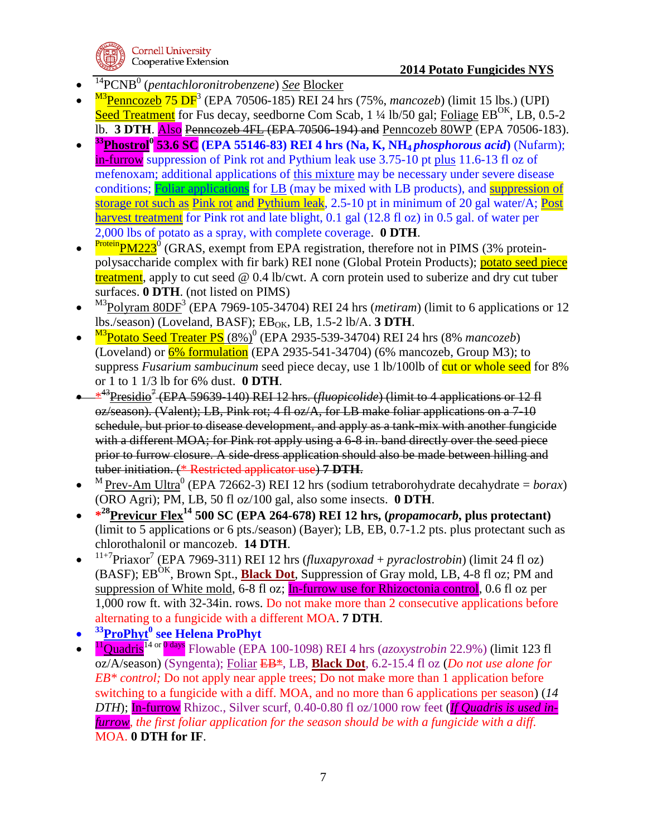

- $\bullet$ <sup>14</sup>PCNB<sup>0</sup> (pentachloronitrobenzene) <u>See Blocker</u>
- $\bullet$ <sup>M3</sup>Penncozeb 75 DF<sup>3</sup> (EPA 70506-185) REI 24 hrs (75%, *mancozeb*) (limit 15 lbs.) (UPI) Seed Treatment for Fus decay, seedborne Com Scab,  $1\frac{1}{4}$  lb/50 gal; Foliage EB<sup>OK</sup>, LB, 0.5-2 lb. **3 DTH**. Also Penncozeb 4FL (EPA 70506-194) and Penncozeb 80WP (EPA 70506-183).
- $\bullet$ **<sup>33</sup>Phostrol<sup>0</sup> 53.6 SC (EPA 55146-83) REI 4 hrs (Na, K, NH4** *phosphorous acid***)** (Nufarm); in-furrow suppression of Pink rot and Pythium leak use 3.75-10 pt plus 11.6-13 fl oz of mefenoxam; additional applications of this mixture may be necessary under severe disease conditions; Foliar applications for LB (may be mixed with LB products), and suppression of storage rot such as Pink rot and Pythium leak, 2.5-10 pt in minimum of 20 gal water/A; Post harvest treatment for Pink rot and late blight, 0.1 gal (12.8 fl oz) in 0.5 gal. of water per 2,000 lbs of potato as a spray, with complete coverage. **0 DTH**.
- $\bullet$ Protein<sub>PM223</sub><sup>0</sup> (GRAS, exempt from EPA registration, therefore not in PIMS (3% proteinpolysaccharide complex with fir bark) REI none (Global Protein Products); potato seed piece treatment, apply to cut seed  $\omega$  0.4 lb/cwt. A corn protein used to suberize and dry cut tuber surfaces. **0 DTH**. (not listed on PIMS)
- $\bullet$ <sup>M3</sup>Polyram 80DF<sup>3</sup> (EPA 7969-105-34704) REI 24 hrs (*metiram*) (limit to 6 applications or 12  $\text{lbs./season}$  (Loveland, BASF);  $\text{EB}_{OK}$ , LB, 1.5-2 lb/A. **3 DTH**.
- $\bullet$ <sup>M3</sup>Potato Seed Treater PS (8%)<sup>0</sup> (EPA 2935-539-34704) REI 24 hrs (8% *mancozeb*) (Loveland) or  $6\%$  formulation (EPA 2935-541-34704) (6% mancozeb, Group M3); to suppress *Fusarium sambucinum* seed piece decay, use 1 lb/100lb of cut or whole seed for 8% or 1 to 1 1/3 lb for 6% dust. **0 DTH**.
- \* <sup>43</sup>Presidio<sup>7</sup> (EPA 59639-140) REI 12 hrs. (*fluopicolide*) (limit to 4 applications or 12 fl oz/season). (Valent); LB, Pink rot; 4 fl oz/A, for LB make foliar applications on a 7-10 schedule, but prior to disease development, and apply as a tank-mix with another fungicide with a different MOA; for Pink rot apply using a 6-8 in. band directly over the seed piece prior to furrow closure. A side-dress application should also be made between hilling and tuber initiation. (\* Restricted applicator use) **7 DTH**.
- $\bullet$ <sup>M</sup> Prev-Am Ultra<sup>0</sup> (EPA 72662-3) REI 12 hrs (sodium tetraborohydrate decahydrate = *borax*) (ORO Agri); PM, LB, 50 fl oz/100 gal, also some insects. **0 DTH**.
- **\* <sup>28</sup>Previcur Flex<sup>14</sup> 500 SC (EPA 264-678) REI 12 hrs, (***propamocarb***, plus protectant)**  (limit to 5 applications or 6 pts./season) (Bayer); LB, EB, 0.7-1.2 pts. plus protectant such as chlorothalonil or mancozeb. **14 DTH**.
- $\bullet$ <sup>11+7</sup>Priaxor<sup>7</sup> (EPA 7969-311) REI 12 hrs (*fluxapyroxad* + *pyraclostrobin*) (limit 24 fl oz) (BASF); EB<sup>OK</sup>, Brown Spt., **Black Dot**, Suppression of Gray mold, LB, 4-8 fl oz; PM and suppression of White mold, 6-8 fl oz; In-furrow use for Rhizoctonia control, 0.6 fl oz per 1,000 row ft. with 32-34in. rows. Do not make more than 2 consecutive applications before alternating to a fungicide with a different MOA. **7 DTH**.
- $\bullet$ **<sup>33</sup>ProPhyt<sup>0</sup> see Helena ProPhyt**
- $\bullet$ <sup>11</sup>Quadris<sup>14</sup> or 0 days Flowable (EPA 100-1098) REI 4 hrs (*azoxystrobin* 22.9%) (limit 123 fl oz/A/season) (Syngenta); Foliar EB\*, LB, **Black Dot**, 6.2-15.4 fl oz (*Do not use alone for EB\* control;* Do not apply near apple trees; Do not make more than 1 application before switching to a fungicide with a diff. MOA, and no more than 6 applications per season) (*14 DTH*); In-furrow Rhizoc., Silver scurf, 0.40-0.80 fl oz/1000 row feet (*If Quadris is used infurrow, the first foliar application for the season should be with a fungicide with a diff.*  MOA. **0 DTH for IF**.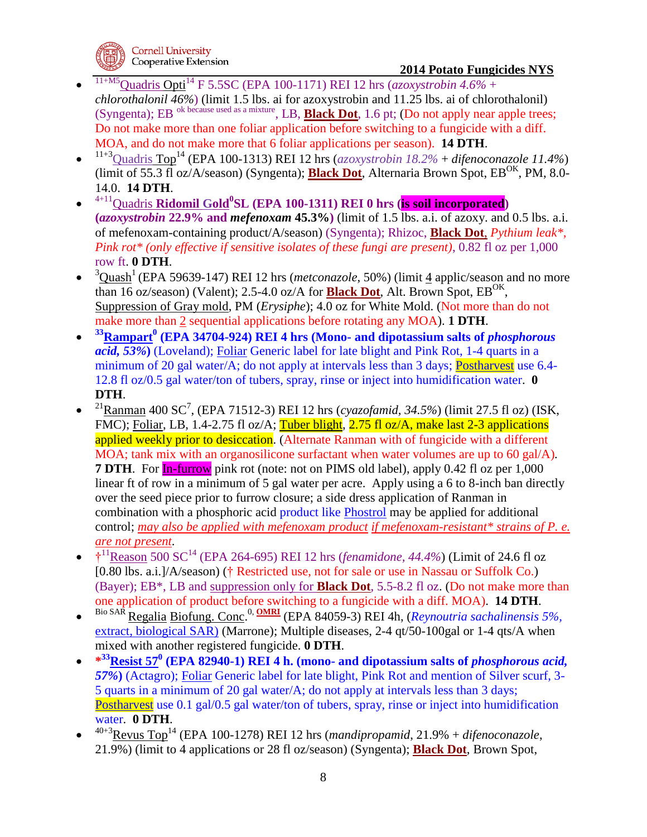- $\bullet$ 11+M5Quadris Opti<sup>14</sup> F 5.5SC (EPA 100-1171) REI 12 hrs (*azoxystrobin 4.6%* + *chlorothalonil 46%*) (limit 1.5 lbs. ai for azoxystrobin and 11.25 lbs. ai of chlorothalonil) (Syngenta); EB ok because used as a mixture, LB, **Black Dot**, 1.6 pt; (Do not apply near apple trees; Do not make more than one foliar application before switching to a fungicide with a diff. MOA, and do not make more that 6 foliar applications per season). **14 DTH**.
- $\bullet$ 11+3Quadris Top<sup>14</sup> (EPA 100-1313) REI 12 hrs (*azoxystrobin 18.2%* + *difenoconazole 11.4%*) (limit of 55.3 fl oz/A/season) (Syngenta); **Black Dot**, Alternaria Brown Spot, EB<sup>OK</sup>, PM, 8.0-14.0. **14 DTH**.
- $\bullet$ 4+11Quadris **Ridomil Gold<sup>0</sup> SL (EPA 100-1311) REI 0 hrs (is soil incorporated) (***azoxystrobin* **22.9% and** *mefenoxam* **45.3%)** (limit of 1.5 lbs. a.i. of azoxy. and 0.5 lbs. a.i. of mefenoxam-containing product/A/season) (Syngenta); Rhizoc, **Black Dot**, *Pythium leak\*, Pink rot\* (only effective if sensitive isolates of these fungi are present)*, 0.82 fl oz per 1,000 row ft. **0 DTH**.
- $\bullet$ <sup>3</sup>Ouash<sup>1</sup> (EPA 59639-147) REI 12 hrs (*metconazole*, 50%) (limit 4 applic/season and no more than 16 oz/season) (Valent); 2.5-4.0 oz/A for **Black Dot**, Alt. Brown Spot,  $EB^{OK}$ , Suppression of Gray mold, PM (*Erysiphe*); 4.0 oz for White Mold. (Not more than do not make more than 2 sequential applications before rotating any MOA). **1 DTH**.
- $\bullet$ **<sup>33</sup>Rampart<sup>0</sup> (EPA 34704-924) REI 4 hrs (Mono- and dipotassium salts of** *phosphorous acid, 53%***)** (Loveland); Foliar Generic label for late blight and Pink Rot, 1-4 quarts in a minimum of 20 gal water/A; do not apply at intervals less than 3 days; Postharvest use 6.4-12.8 fl oz/0.5 gal water/ton of tubers, spray, rinse or inject into humidification water. **0 DTH**.
- $\bullet$ <sup>21</sup> Ranman 400 SC<sup>7</sup>, (EPA 71512-3) REI 12 hrs (*cyazofamid, 34.5%*) (limit 27.5 fl oz) (ISK, FMC); Foliar, LB, 1.4-2.75 fl oz/A; Tuber blight, 2.75 fl oz/A, make last 2-3 applications applied weekly prior to desiccation. (Alternate Ranman with of fungicide with a different MOA; tank mix with an organosilicone surfactant when water volumes are up to 60 gal/A)*.* **7 DTH.** For **In-furrow** pink rot (note: not on PIMS old label), apply 0.42 fl oz per 1,000 linear ft of row in a minimum of 5 gal water per acre. Apply using a 6 to 8-inch ban directly over the seed piece prior to furrow closure; a side dress application of Ranman in combination with a phosphoric acid product like Phostrol may be applied for additional control; *may also be applied with mefenoxam product if mefenoxam-resistant\* strains of P. e. are not present*.
- $\uparrow$ <sup>11</sup>Reason 500 SC<sup>14</sup> (EPA 264-695) REI 12 hrs (*fenamidone, 44.4%*) (Limit of 24.6 fl oz [0.80 lbs. a.i.]/A/season) († Restricted use, not for sale or use in Nassau or Suffolk Co.) (Bayer); EB\*, LB and suppression only for **Black Dot**, 5.5-8.2 fl oz. (Do not make more than one application of product before switching to a fungicide with a diff. MOA). **14 DTH**.
- $\bullet$ Bio SAR Regalia Biofung. Conc. 0, **OMRI** (EPA 84059-3) REI 4h, (*[Reynoutria sachalinensis](http://pmep.cce.cornell.edu/profile.search?query=055809&minscore=90&numdocs=1) 5%,* [extract, biological SAR\)](http://pmep.cce.cornell.edu/profile.search?query=055809&minscore=90&numdocs=1) (Marrone); Multiple diseases, 2-4 qt/50-100gal or 1-4 qts/A when mixed with another registered fungicide. **0 DTH**.
- **\* <sup>33</sup>Resist 57<sup>0</sup> (EPA 82940-1) REI 4 h. (mono- and dipotassium salts of** *phosphorous acid, 57%***)** (Actagro); Foliar Generic label for late blight, Pink Rot and mention of Silver scurf, 3- 5 quarts in a minimum of 20 gal water/A; do not apply at intervals less than 3 days; Postharvest use 0.1 gal/0.5 gal water/ton of tubers, spray, rinse or inject into humidification water. **0 DTH**.
- $\bullet$ 40+3Revus Top<sup>14</sup> (EPA 100-1278) REI 12 hrs (*mandipropamid*, 21.9% + *difenoconazole*, 21.9%) (limit to 4 applications or 28 fl oz/season) (Syngenta); **Black Dot**, Brown Spot,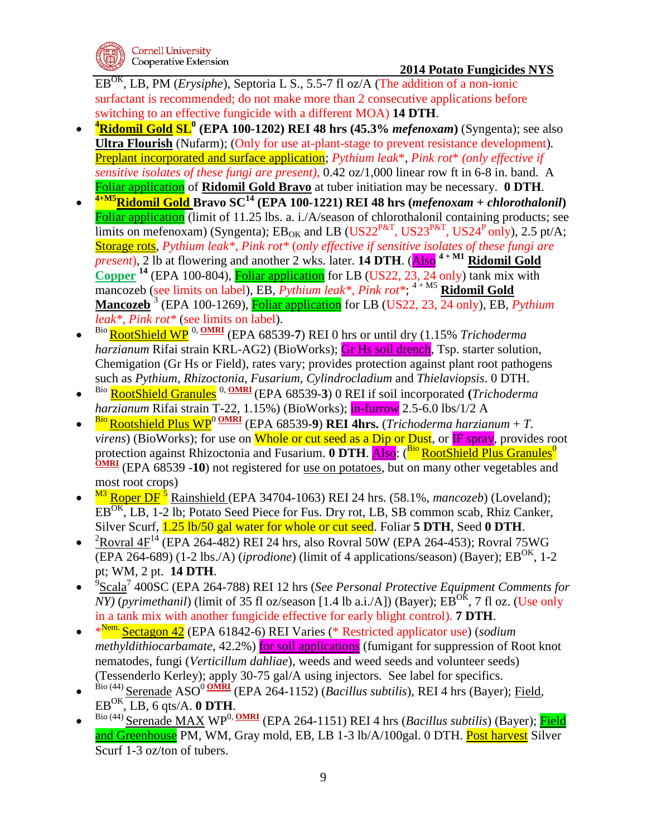EBOK, LB, PM (*Erysiphe*), Septoria L S., 5.5-7 fl oz/A (The addition of a non-ionic surfactant is recommended; do not make more than 2 consecutive applications before switching to an effective fungicide with a different MOA) **14 DTH**.

- $\bullet$ **<sup>4</sup>Ridomil Gold SL<sup>0</sup> (EPA 100-1202) REI 48 hrs (45.3%** *mefenoxam***)** (Syngenta); see also **Ultra Flourish** (Nufarm); (Only for use at-plant-stage to prevent resistance development)*.* Preplant incorporated and surface application; *Pythium leak*\*, *Pink rot*\* *(only effective if sensitive isolates of these fungi are present)*, 0.42 oz/1,000 linear row ft in 6-8 in. band. A Foliar application of **Ridomil Gold Bravo** at tuber initiation may be necessary. **0 DTH**.
- $\bullet$ **4+M5Ridomil Gold Bravo SC<sup>14</sup> (EPA 100-1221) REI 48 hrs (***mefenoxam* **+** *chlorothalonil***)** Foliar application (limit of 11.25 lbs. a. i./A/season of chlorothalonil containing products; see limits on mefenoxam) (Syngenta);  $EB_{OK}$  and LB (US22<sup>P&T</sup>, US23<sup>P&T</sup>, US24<sup>P</sup> only), 2.5 pt/A; Storage rots, *Pythium leak\*, Pink rot\** (*only effective if sensitive isolates of these fungi are present*), 2 lb at flowering and another 2 wks. later. **14 DTH**. (**Also**<sup>4+M1</sup> **Ridomil Gold Copper**  $^{14}$  (EPA 100-804), **Foliar application** for LB (US22, 23, 24 only) tank mix with mancozeb (see limits on label), EB, *Pythium leak<sup>\*</sup>, Pink rot<sup>\*</sup>;*<sup>4+M5</sup> Ridomil Gold **Mancozeb** <sup>3</sup> (EPA 100-1269), Foliar application for LB (US22, 23, 24 only), EB, *Pythium leak\*, Pink rot\** (see limits on label).
- $\bullet$ Bio RootShield WP 0, **OMRI** (EPA 68539-**7**) REI 0 hrs or until dry (1.15% *Trichoderma harzianum* Rifai strain KRL-AG2) (BioWorks); Gr Hs soil drench, Tsp. starter solution, Chemigation (Gr Hs or Field), rates vary; provides protection against plant root pathogens such as *Pythium, Rhizoctonia, Fusarium, Cylindrocladium* and *Thielaviopsis*. 0 DTH.
- $\bullet$ Bio RootShield Granules 0, **OMRI** (EPA 68539-**3**) 0 REI if soil incorporated **(***Trichoderma harzianum* Rifai strain T-22, 1.15%) (BioWorks); in-furrow 2.5-6.0 lbs/1/2 A
- $\bullet$  $\frac{\text{Bio}}{\text{Rootshield}}$  Plus  $\text{WP}^0$   $\frac{\text{OMRI}}{\text{CEPA}}$  (EPA 68539-9) REI 4hrs. (*Trichoderma harzianum* + *T*. *virens*) (BioWorks); for use on **Whole or cut seed as a Dip or Dust**, or IF spray, provides root protection against Rhizoctonia and Fusarium. 0 DTH. **Also:** (<sup>Bio</sup> RootShield Plus Granules<sup>0</sup> **OMRI** (EPA 68539 -10) not registered for <u>use on potatoes</u>, but on many other vegetables and most root crops)
- $\bullet$ <sup>M3</sup> Roper DF<sup>5</sup> Rainshield (EPA 34704-1063) REI 24 hrs. (58.1%, *mancozeb*) (Loveland); EB<sup>OK</sup>, LB, 1-2 lb; Potato Seed Piece for Fus. Dry rot, LB, SB common scab, Rhiz Canker, Silver Scurf, 1.25 lb/50 gal water for whole or cut seed. Foliar **5 DTH**, Seed **0 DTH**.
- ${}^{2}$ Rovral 4F<sup>14</sup> (EPA 264-482) REI 24 hrs, also Rovral 50W (EPA 264-453); Rovral 75WG (EPA 264-689) (1-2 lbs./A) (*iprodione*) (limit of 4 applications/season) (Bayer);  $EB^{OK}$ , 1-2 pt; WM, 2 pt. **14 DTH**.
- $\bullet$ <sup>9</sup>Scala<sup>7</sup> 400SC (EPA 264-788) REI 12 hrs (*See Personal Protective Equipment Comments for NY*) (*pyrimethanil*) (limit of 35 fl oz/season [1.4 lb a.i./A]) (Bayer);  $EB^{OK}$ , 7 fl oz. (Use only in a tank mix with another fungicide effective for early blight control). **7 DTH**.
- \*<sup>Nem.</sup> Sectagon 42</u> (EPA 61842-6) REI Varies (\* Restricted applicator use) (*sodium methyldithiocarbamate*, 42.2%) for soil applications (fumigant for suppression of Root knot nematodes, fungi (*Verticillum dahliae*), weeds and weed seeds and volunteer seeds) (Tessenderlo Kerley); apply 30-75 gal/A using injectors. See label for specifics.
- $\bullet$ Bio (44) Serenade ASO<sup>0</sup> OMRI<sup></sup> (EPA 264-1152) (*Bacillus subtilis*), REI 4 hrs (Bayer); Field,  $EB^{OK}, LB, 6$  qts/A. **0 DTH**.
- $\bullet$ Bio (44) Serenade MAX WP<sup>0, OMRI</sup> (EPA 264-1151) REI 4 hrs (*Bacillus subtilis*) (Bayer); Field and Greenhouse PM, WM, Gray mold, EB, LB 1-3 lb/A/100gal. 0 DTH. Post harvest Silver Scurf 1-3 oz/ton of tubers.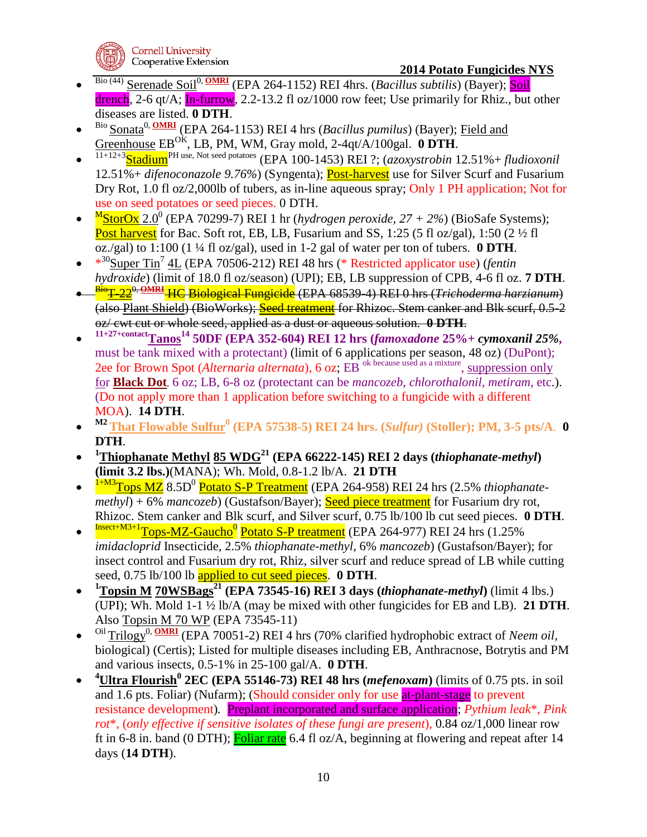

- $\bullet$ Bio (44) Serenade Soil<sup>0, **OMRI** (EPA 264-1152) REI 4hrs. (*Bacillus subtilis*) (Bayer); Soil</sup> drench, 2-6 qt/A; In-furrow, 2.2-13.2 fl oz/1000 row feet; Use primarily for Rhiz., but other diseases are listed. **0 DTH**.
- $\bullet$ Bio Sonata0, **OMRI** (EPA 264-1153) REI 4 hrs (*Bacillus pumilus*) (Bayer); Field and Greenhouse EBOK, LB, PM, WM, Gray mold, 2-4qt/A/100gal. **0 DTH**.
- $\bullet$ 11+12+3StadiumPH use, Not seed potatoes (EPA 100-1453) REI ?; (*azoxystrobin* 12.51%+ *fludioxonil* 12.51%+ *difenoconazole 9.76%*) (Syngenta); Post-harvest use for Silver Scurf and Fusarium Dry Rot, 1.0 fl oz/2,000lb of tubers, as in-line aqueous spray; Only 1 PH application; Not for use on seed potatoes or seed pieces. 0 DTH.
- $\bullet$ M StorOx 2.0<sup>0</sup> (EPA 70299-7) REI 1 hr (*hydrogen peroxide, 27 + 2%*) (BioSafe Systems); Post harvest for Bac. Soft rot, EB, LB, Fusarium and SS, 1:25 (5 fl oz/gal), 1:50 (2  $\frac{1}{2}$  fl oz./gal) to 1:100 (1 ¼ fl oz/gal), used in 1-2 gal of water per ton of tubers. **0 DTH**.
- $\cdot$   $*^{30}$ Super Tin<sup>7</sup> 4L (EPA 70506-212) REI 48 hrs (\* Restricted applicator use) (*fentin hydroxide*) (limit of 18.0 fl oz/season) (UPI); EB, LB suppression of CPB, 4-6 fl oz. **7 DTH**.
- $\bullet$ BioT-220, **OMRI** HC Biological Fungicide (EPA 68539-4) REI 0 hrs (*Trichoderma harzianum*) (also Plant Shield) (BioWorks); Seed treatment for Rhizoc. Stem canker and Blk scurf, 0.5-2 oz/ cwt cut or whole seed, applied as a dust or aqueous solution. **0 DTH**.
- $\bullet$ **11+27+contactTanos<sup>14</sup> 50DF (EPA 352-604) REI 12 hrs (***famoxadone* **25%+** *cymoxanil 25%***,**  must be tank mixed with a protectant) (limit of 6 applications per season, 48 oz) (DuPont); 2ee for Brown Spot (*Alternaria alternata*), 6 oz; EB ok because used as a mixture , suppression only for **Black Dot**, 6 oz; LB, 6-8 oz (protectant can be *mancozeb*, *chlorothalonil*, *metiram*, etc.). (Do not apply more than 1 application before switching to a fungicide with a different MOA). **14 DTH**.
- $\bullet$ **M2 That Flowable Sulfur<sup>0</sup> (EPA 57538-5) REI 24 hrs. (***Sulfur)* **(Stoller); PM, 3-5 pts/A**. **0 DTH**.
- $\bullet$ **<sup>1</sup>Thiophanate Methyl 85 WDG<sup>21</sup> (EPA 66222-145) REI 2 days (***thiophanate-methyl***) (limit 3.2 lbs.)**(MANA); Wh. Mold, 0.8-1.2 lb/A. **21 DTH**
- $\bullet$ <sup>1+M3</sup>Tops MZ 8.5D<sup>0</sup> Potato S-P Treatment (EPA 264-958) REI 24 hrs (2.5% *thiophanatemethyl*) + 6% *mancozeb*) (Gustafson/Bayer); **Seed piece treatment** for Fusarium dry rot, Rhizoc. Stem canker and Blk scurf, and Silver scurf, 0.75 lb/100 lb cut seed pieces. **0 DTH**.
- $\bullet$ <sup>Insect+M3+1</sup>Tops-MZ-Gaucho<sup>0</sup> Potato S-P treatment (EPA 264-977) REI 24 hrs (1.25% *imidacloprid* Insecticide, 2.5% *thiophanate-methyl*, 6% *mancozeb*) (Gustafson/Bayer); for insect control and Fusarium dry rot, Rhiz, silver scurf and reduce spread of LB while cutting seed, 0.75 lb/100 lb applied to cut seed pieces. **0 DTH**.
- $\bullet$ **<sup>1</sup>Topsin M 70WSBags<sup>21</sup> (EPA 73545-16) REI 3 days (***thiophanate-methyl***)** (limit 4 lbs.) (UPI); Wh. Mold 1-1 ½ lb/A (may be mixed with other fungicides for EB and LB). **21 DTH**. Also Topsin M 70 WP (EPA 73545-11)
- $\bullet$ <sup>Oil</sup> Trilogy<sup>0, **OMRI** (EPA 70051-2) REI 4 hrs (70% clarified hydrophobic extract of *Neem oil*,</sup> biological) (Certis); Listed for multiple diseases including EB, Anthracnose, Botrytis and PM and various insects, 0.5-1% in 25-100 gal/A. **0 DTH**.
- $\bullet$ **<sup>4</sup>Ultra Flourish<sup>0</sup> 2EC (EPA 55146-73) REI 48 hrs (***mefenoxam***)** (limits of 0.75 pts. in soil and 1.6 pts. Foliar) (Nufarm); (Should consider only for use at-plant-stage to prevent resistance development)*.* Preplant incorporated and surface application; *Pythium leak*\*, *Pink rot*\*, (*only effective if sensitive isolates of these fungi are present*), 0.84 oz/1,000 linear row ft in 6-8 in. band (0 DTH); Foliar rate 6.4 fl oz/A, beginning at flowering and repeat after 14 days (**14 DTH**).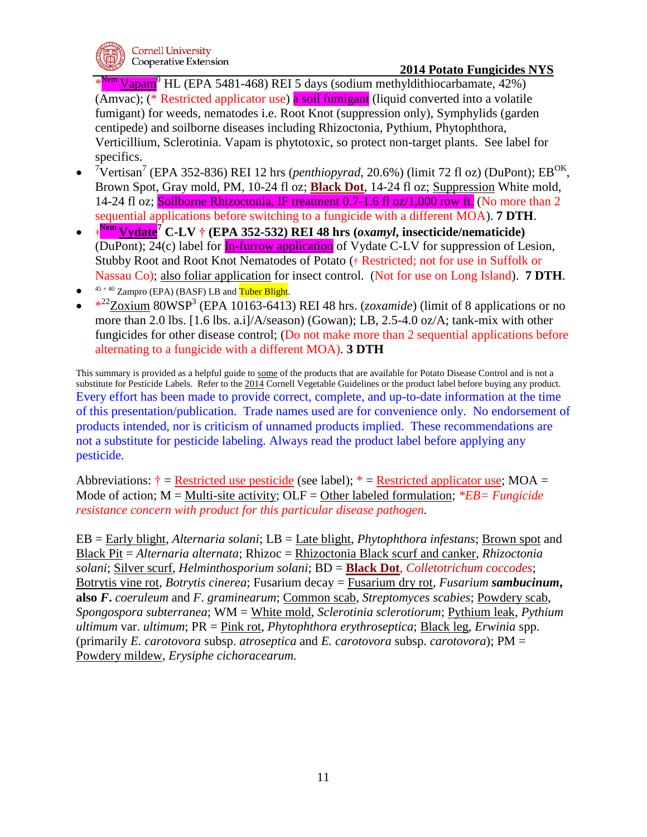\*  $\text{Vapam}^0$  HL (EPA 5481-468) REI 5 days (sodium methyldithiocarbamate, 42%) (Amvac); (\* Restricted applicator use) a soil fumigant (liquid converted into a volatile fumigant) for weeds, nematodes i.e. Root Knot (suppression only), Symphylids (garden centipede) and soilborne diseases including Rhizoctonia, Pythium, Phytophthora, Verticillium, Sclerotinia. Vapam is phytotoxic, so protect non-target plants. See label for specifics.

- <sup>7</sup>Vertisan<sup>7</sup> (EPA 352-836) REI 12 hrs (*penthiopyrad*, 20.6%) (limit 72 fl oz) (DuPont); EB<sup>OK</sup>, Brown Spot, Gray mold, PM, 10-24 fl oz; **Black Dot**, 14-24 fl oz; Suppression White mold, 14-24 fl oz; Soilborne Rhizoctonia, IF treatment 0.7-1.6 fl oz/1,000 row ft. (No more than 2 sequential applications before switching to a fungicide with a different MOA). **7 DTH**.
- **† Nem Vydate<sup>7</sup> C-LV † (EPA 352-532) REI 48 hrs (***oxamyl***, insecticide/nematicide)**   $(Du\text{Pont})$ ; 24(c) label for  $\underline{\text{In-furrow application}}$  of Vydate C-LV for suppression of Lesion, Stubby Root and Root Knot Nematodes of Potato († Restricted; not for use in Suffolk or Nassau Co); also foliar application for insect control. (Not for use on Long Island). **7 DTH**.
- $\bullet$  $45 + 40$  Zampro (EPA) (BASF) LB and Tuber Blight.
- $*^{22}Zoxium$  80WSP<sup>3</sup> (EPA 10163-6413) REI 48 hrs. (*zoxamide*) (limit of 8 applications or no more than 2.0 lbs. [1.6 lbs. a.i]/A/season) (Gowan); LB, 2.5-4.0 oz/A; tank-mix with other fungicides for other disease control; (Do not make more than 2 sequential applications before alternating to a fungicide with a different MOA). **3 DTH**

This summary is provided as a helpful guide to some of the products that are available for Potato Disease Control and is not a substitute for Pesticide Labels. Refer to the 2014 Cornell Vegetable Guidelines or the product label before buying any product. Every effort has been made to provide correct, complete, and up-to-date information at the time of this presentation/publication. Trade names used are for convenience only. No endorsement of products intended, nor is criticism of unnamed products implied. These recommendations are not a substitute for pesticide labeling. Always read the product label before applying any pesticide.

Abbreviations:  $\dot{\tau}$  = Restricted use pesticide (see label);  $*$  = Restricted applicator use; MOA = Mode of action; M = Multi-site activity; OLF = Other labeled formulation; *\*EB= Fungicide resistance concern with product for this particular disease pathogen.*

EB = Early blight, *Alternaria solani*; LB = Late blight, *Phytophthora infestans*; Brown spot and Black Pit = *Alternaria alternata*; Rhizoc = Rhizoctonia Black scurf and canker, *Rhizoctonia solani*; Silver scurf, *Helminthosporium solani*; BD = **Black Dot**, *Colletotrichum coccodes*; Botrytis vine rot, *Botrytis cinerea*; Fusarium decay = Fusarium dry rot, *Fusarium sambucinum***, also** *F***.** *coeruleum* and *F*. *graminearum*; Common scab, *Streptomyces scabies*; Powdery scab, *Spongospora subterranea*; WM = White mold, *Sclerotinia sclerotiorum*; Pythium leak, *Pythium ultimum* var. *ultimum*; PR = Pink rot, *Phytophthora erythroseptica*; Black leg, *Erwinia* spp. (primarily *E. carotovora* subsp. *atroseptica* and *E. carotovora* subsp. *carotovora*); PM = Powdery mildew, *Erysiphe cichoracearum.*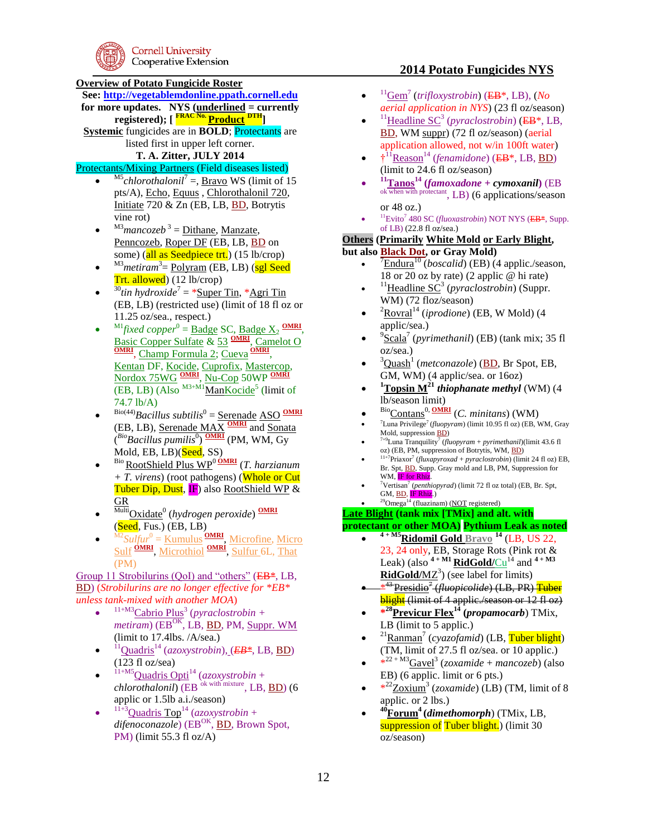### **Overview of Potato Fungicide Roster**

**See: [http://vegetablemdonline.ppath.cornell.edu](http://vegetablemdonline.ppath.cornell.edu/)**

- **for more updates. NYS (underlined = currently registered); [ FRAC No. Product DTH]**
- **Systemic** fungicides are in **BOLD**; Protectants are listed first in upper left corner.

### **T. A. Zitter, JULY 2014**

# Protectants/Mixing Partners (Field diseases listed)

- $\bullet$ <sup>M5</sup>chlorothalonil<sup>7</sup> =, <u>Bravo</u> WS (limit of 15 pts/A), Echo, Equus , Chlorothalonil 720, Initiate 720 & Zn (EB, LB, BD, Botrytis vine rot)
- $\bullet$  $^{M3}$ *mancozeb*<sup>3</sup> = <u>Dithane</u>, <u>Manzate</u>, Penncozeb, Roper DF (EB, LB, BD on some) (all as Seedpiece trt.) (15 lb/crop)
- $\bullet$ <sup>M3</sup>metiram<sup>3</sup> = Polyram (EB, LB) (sgl Seed Trt. allowed) (12 lb/crop)
- $\bullet$ <sup>30</sup>tin hydroxide<sup>7</sup> = \*<u>Super Tin</u>, \*<u>Agri Tin</u> (EB, LB) (restricted use) (limit of 18 fl oz or 11.25 oz/sea., respect.)
- $\bullet$  $^{M1}$ fixed copper<sup>0</sup> = <u>Badge</u> SC, <u>Badge X<sub>2</sub> OMRI</u>, Basic Copper Sulfate & 53 **OMRI**, Camelot O<br> **OMRI**, Champ Formula 2; Cueva **OMRI**, Kentan DF, Kocide, Cuprofix, Mastercop, Nordox 75WG **OMRI** , Nu-Cop 50WP **OMRI**  $(EB, LB)$  (Also  $^{M3+M1}$ ManKocide<sup>5</sup> (limit of 74.7 lb/A)
- $\bullet$ Bio(44)*Bacillus subtilis*<sup>0</sup> = Serenade ASO **OMRI** (EB, LB), Serenade MAX **OMRI** and Sonata  $\binom{Bio}$ *Bacillus pumilis*<sup>0</sup>) **OMRI** (PM, WM, Gy Mold, EB, LB)(Seed, SS)
- $\bullet$ Bio RootShield Plus WP<sup>0</sup>**OMRI** (*T. harzianum + T. virens*) (root pathogens) (Whole or Cut Tuber Dip, Dust, IF) also RootShield WP & GR
- $\bullet$ MultiOxidate<sup>0</sup> (*hydrogen peroxide*) **OMRI**  $(Seed, Fus.)$   $(EB, LB)$
- $\bullet$ <sup>M2</sup>Sulfur<sup>0</sup> = <u>Kumulus</u> **OMRI**, Microfine, Micro Sulf **OMRI** , Microthiol **OMRI** , Sulfur 6L, That (PM)

Group 11 Strobilurins (QoI) and "others" (EB<sup>\*</sup>, LB, BD) (*Strobilurins are no longer effective for \*EB\* unless tank-mixed with another MOA*)

- $\bullet$ <sup>11+M3</sup>Cabrio Plus<sup>3</sup> (*pyraclostrobin* + *metiram*) (EB<sup>OK</sup>, LB, <u>BD</u>, PM, Suppr. WM (limit to 17.4lbs. /A/sea.)
- $\bullet$ <sup>11</sup>Quadris<sup>14</sup> (*azoxystrobin*), (*EB\**, LB, BD) (123 fl oz/sea)
- $\bullet$  $^{11+M5}$ Quadris Opti<sup>14</sup> (*azoxystrobin* + *chlorothalonil*) (EB <sup>ok with mixture</sup>, LB, BD) (6 applic or 1.5lb a.i./season)
- $\bullet$ <sup>11+3</sup>Quadris Top<sup>14</sup> (*azoxystrobin* + difenoconazole) (EB<sup>OK</sup>, BD, Brown Spot, PM) (limit 55.3 fl  $oz/A$ )

## **2014 Potato Fungicides NYS**

- $\bullet$ <sup>11</sup>Gem<sup>7</sup> (*trifloxystrobin*) (EB\*, LB), (*No aerial application in NYS*) (23 fl oz/season)
- $\bullet$ <sup>11</sup>Headline SC<sup>3</sup> (*pyraclostrobin*) (EB<sup>\*</sup>, LB, BD, WM suppr) (72 fl oz/season) (aerial application allowed, not w/in 100ft water)
- $\bullet$   $\uparrow$ <sup>11</sup> Reason<sup>14</sup> (*fenamidone*) (EB<sup>\*</sup>, LB, <u>BD</u>) (limit to 24.6 fl oz/season)
- $\bullet$ **<sup>11</sup>Tanos<sup>14</sup> (***famoxadone* **+** *cymoxanil***)** (EB ok when with protectant, LB) (6 applications/season or 48 oz.)
- $\bullet$ <sup>11</sup>Evito<sup>7</sup> 480 SC (*fluoxastrobin*) NOT NYS (EB<sup>\*</sup>, Supp. of LB) (22.8 fl oz/sea.)

# **Others (Primarily White Mold or Early Blight,**

**but also Black Dot, or Gray Mold)**

- $\bullet$ <sup>7</sup>Endura<sup>10</sup> (*boscalid*) (EB) (4 applic./season, 18 or 20 oz by rate) (2 applic @ hi rate)
- $\bullet$ <sup>11</sup>Headline SC<sup>3</sup> (*pyraclostrobin*) (Suppr. WM) (72 floz/season)
- $\bullet$ <sup>2</sup>Rovral<sup>14</sup> (*iprodione*) (EB, W Mold) (4 applic/sea.)
- $\bullet$ 9 Scala<sup>7</sup> (*pyrimethanil*) (EB) (tank mix; 35 fl oz/sea.)
- $\bullet$ <sup>3</sup>Quash<sup>1</sup> (*metconazole*) (BD, Br Spot, EB, GM, WM) (4 applic/sea. or 16oz)
- $\bullet$  $\rm{^{1}Topsin~M^{21}}$  *thiophanate methyl* (WM) (4) lb/season limit)
- $\bullet$ BioContans0, **OMRI** (*C. minitans*) (WM)
- $\bullet$  $7$ Luna Privilege<sup>7</sup> (*fluopyram*) (limit 10.95 fl oz) (EB, WM, Gray Mold, suppression BD)
- $\bullet$  $7+9$ Luna Tranquility<sup>7</sup> (*fluopyram* + *pyrimethanil*)(limit 43.6 fl oz) (EB, PM, suppression of Botrytis, WM, BD)
- $\bullet$  $^{11+7}$ Priaxor<sup>7</sup> (*fluxapyroxad* + *pyraclostrobin*) (limit 24 fl oz) EB, Br. Spt, BD, Supp. Gray mold and LB, PM, Suppression for WM, IF for Rhiz.
- $\bullet$ <sup>7</sup>Vertisan<sup>7</sup> (*penthiopyrad*) (limit 72 fl oz total) (EB, Br. Spt, GM, <u>BD</u>, <mark>IF Rhiz</mark>.)

#### $\bullet$  $^{29}$ Omega<sup>14</sup> (fluazinam) (NOT registered) **Late Blight (tank mix [TMix] and alt. with**

## **protectant or other MOA) Pythium Leak as noted**

- $\bullet$ **4 + M5Ridomil Gold Bravo <sup>14</sup>** (LB, US 22, 23, 24 only, EB, Storage Rots (Pink rot & Leak) (also  $4 + M1$  **RidGold/**Cu<sup>14</sup> and  $4 + M3$ **RidGold/MZ<sup>3</sup>**) (see label for limits)
- $*^{4.5}$ <sup>43</sup>Presidio<sup>7</sup> (*fluopicolide*) (LB, PR) Tuber **blight** (limit of 4 applic./season or 12 fl oz)
- **\* <sup>28</sup>Previcur Flex<sup>14</sup> (***propamocarb*) TMix, LB (limit to 5 applic.)
- $\bullet$ <sup>21</sup> Ranman<sup>7</sup> (*cyazofamid*) (LB, Tuber blight) (TM, limit of 27.5 fl oz/sea. or 10 applic.)
- \* 22 + M3Gavel<sup>3</sup> (*zoxamide* + *mancozeb*) (also EB) (6 applic. limit or 6 pts.)
- \* <sup>22</sup>Zoxium<sup>3</sup> (*zoxamide*) (LB) (TM, limit of 8 applic. or 2 lbs.)
- $\bullet$ **<sup>40</sup>Forum<sup>4</sup>(***dimethomorph*) (TMix, LB, suppression of Tuber blight.) (limit 30 oz/season)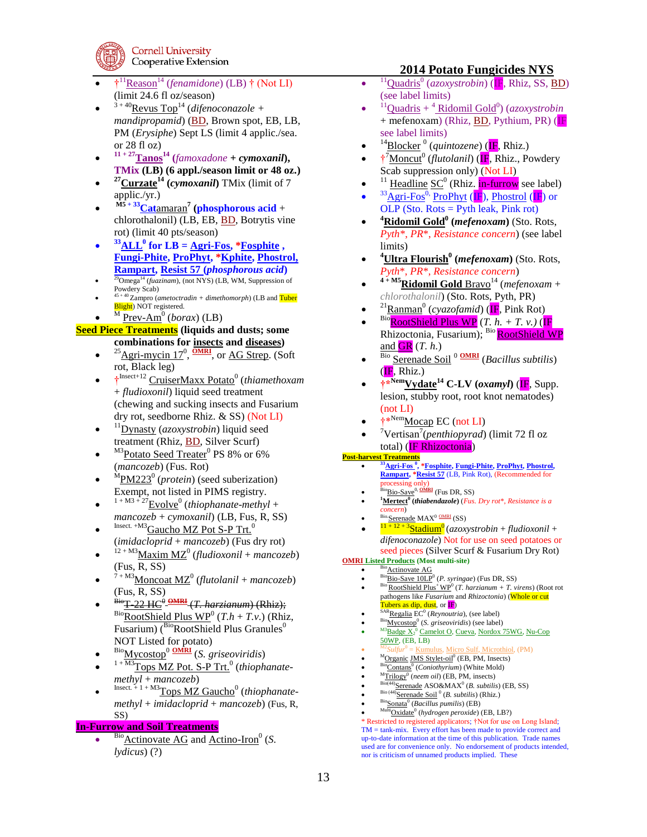

- $\bullet$   $\mathfrak{f}^{11}$ <u>Reason</u><sup>14</sup> (*fenamidone*) (LB)  $\mathfrak{f}$  (Not LI) (limit 24.6 fl oz/season)
- $\bullet$  $3 + 40$ Revus Top<sup>14</sup> (difenoconazole + *mandipropamid*) (BD, Brown spot, EB, LB, PM (*Erysiphe*) Sept LS (limit 4 applic./sea. or 28 fl oz)
- $\bullet$  $11 + 27$ **Tanos**<sup>14</sup> (*famoxadone* + *cymoxanil***), TMix (LB) (6 appl./season limit or 48 oz.)**
- $\bullet$ **<sup>27</sup>Curzate<sup>14</sup> (***cymoxanil***)** TMix (limit of 7 applic./yr.)
- $\bullet$ **M5 + 33Cat**amaran**<sup>7</sup> (phosphorous acid** + chlorothalonil) (LB, EB, BD, Botrytis vine rot) (limit 40 pts/season)
- $\bullet$  $33$ **ALL<sup>0</sup> for LB** =  $\overline{Agri\text{-}Fos}$ ,  $*$ **Fosphite**  $\overline{g}$ **Fungi-Phite, ProPhyt, \*Kphite, Phostrol, Rampart, Resist 57 (***phosphorous acid***)**
- $\bullet$ <sup>29</sup>Omega<sup>14</sup> (*fuazinam*), (not NYS) (LB, WM, Suppression of Powdery Scab)
- $\bullet$ 45 + 40 Zampro (*ametoctradin + dimethomorph*) (LB and Tuber Blight) NOT registered.  $\bullet$
- <sup>M</sup> Prev-Am<sup>0</sup> (*borax*) (LB)

### **Seed Piece Treatments (liquids and dusts; some combinations for insects and diseases)**

- $\bullet$  $^{25}$ Agri-mycin 17<sup>0</sup>,  $^{OMRI}$ , or AG Strep. (Soft rot, Black leg)
- <sup>†</sup><sup>Insect+12</sup> CruiserMaxx Potato<sup>0</sup> (*thiamethoxam* + *fludioxonil*) liquid seed treatment (chewing and sucking insects and Fusarium dry rot, seedborne Rhiz. & SS) (Not LI)
- $\bullet$ <sup>11</sup>Dynasty (*azoxystrobin*) liquid seed treatment (Rhiz, **BD**, Silver Scurf)
- $\bullet$ <sup>M3</sup>Potato Seed Treater<sup>0</sup> PS 8% or 6% (*mancozeb*) (Fus. Rot)
- $\bullet$ <sup>M</sup>PM223<sup>0</sup> (*protein*) (seed suberization) Exempt, not listed in PIMS registry.
- $\bullet$  $1 + M3 + 27$ <u>Evolve</u><sup>0</sup> (*thiophanate-methyl* + *mancozeb* + *cymoxanil*) (LB, Fus, R, SS)
- $\bullet$ Insect. +M3Gaucho MZ Pot S-P Trt.<sup>0</sup> (*imidacloprid* + *mancozeb*) (Fus dry rot)
- $\bullet$  $^{12+M3}$ Maxim MZ<sup>0</sup> (*fludioxonil* + *mancozeb*) (Fus, R, SS)
- $\bullet$  $7 + M3$ Moncoat MZ<sup>0</sup> (flutolanil + *mancozeb*) (Fus, R, SS)
- $\bullet$ BioT-22 HC<sup>0</sup> **OMRI** (*T. harzianum*) (Rhiz);  $Bio$ **RootShield Plus WP<sup>0</sup>** (*T.h* + *T.v.*) (Rhiz, Fusarium) ( $BioRootShifted Plus Granules<sup>0</sup>$ NOT Listed for potato)
- $\bullet$ BioMycostop<sup>0</sup> **OMRI** (*S. griseoviridis*)
- $\bullet$ <sup>1+M3</sup>Tops MZ Pot. S-P Trt.<sup>0</sup> (thiophanate*methyl* + *mancozeb*)
- $\bullet$ Insect. + 1 + M3 $\underline{T}$ ops MZ Gaucho<sup>0</sup> (thiophanate*methyl* + *imidacloprid* + *mancozeb*) (Fus, R, SS)

### **In-Furrow and Soil Treatments**

 $\bullet$ Bio<sub>Actinovate AG and Actino-Iron<sup>0</sup> (S.</sub> *lydicus*) (?)

### **2014 Potato Fungicides NYS**

- $\bullet$ <sup>11</sup>Quadris<sup>0</sup> (*azoxystrobin*) (IF, Rhiz, SS, BD) (see label limits)
- $\bullet$ <sup>11</sup>Quadris + <sup>4</sup> Ridomil Gold<sup>0</sup>) (*azoxystrobin* + mefenoxam) (Rhiz, BD, Pythium, PR) (IF see label limits)
- $\bullet$ <sup>14</sup>Blocker<sup>0</sup> (quintozene) (IF, Rhiz.)
- †<sup>7</sup>Moncut<sup>0</sup> (*flutolanil*) (IF, Rhiz., Powdery Scab suppression only) (Not LI)
- $\bullet$ <sup>11</sup> Headline SC<sup>0</sup> (Rhiz. **in-furrow** see label)  $\bullet$  $33\frac{\text{Agri-Fos}^{0}}{\text{ProPhyt}}$  (IF), Phostrol (IF) or OLP (Sto. Rots =  $Pyth$  leak, Pink rot)
- $\bullet$ **<sup>4</sup>Ridomil Gold<sup>0</sup> (***mefenoxam***)** (Sto. Rots, *Pyth\**, *PR*\*, *Resistance concern*) (see label limits)
- $\bullet$ **<sup>4</sup>Ultra Flourish<sup>0</sup> (***mefenoxam***)** (Sto. Rots, *Pyth*\*, *PR*\*, *Resistance concern*)
- $\bullet$  $4 + MS$ **Ridomil Gold** Bravo<sup>14</sup> (*mefenoxam* + *chlorothalonil*) (Sto. Rots, Pyth, PR)
- $\bullet$ <sup>21</sup> Ranman<sup>0</sup> (*cyazofamid*) (**IF**, Pink Rot)
- $\bullet$  $\frac{\text{Bio}}{\text{RootShifted Plus WP}}$  (*T. h. + T. v.*) (IF Rhizoctonia, Fusarium); Bio RootShield WP and  $GR(T, h.)$
- $\bullet$ Bio Serenade Soil <sup>0</sup> **OMRI** (*Bacillus subtilis*)  $(E, Rhiz.)$
- **†\*NemVydate<sup>14</sup> C-LV (***oxamyl***)** (IF, Supp. lesion, stubby root, root knot nematodes) (not LI)
- †\*NemMocap EC (not LI)
- $\bullet$ <sup>7</sup>Vertisan<sup>7</sup> (*penthiopyrad*) (limit 72 fl oz total) (**IF Rhizoctonia**)

### **Post-harvest Treatments**

- $\bullet$ **<sup>33</sup>Agri-Fos <sup>0</sup> , \*Fosphite, Fungi-Phite, ProPhyt, Phostrol, Rampart, \*Resist 57** (LB, Pink Rot), (Recommended for processing only)
- $\bullet$ <sup>2</sup>Bio-Save<sup>0, <u>OMRI</u> (Fus DR, SS)</sup>  $\bullet$ **<sup>1</sup>Mertect<sup>0</sup> (***thiabendazole***)** (*Fus. Dry rot*\*, *Resistance is a concern*)
- $\bullet$ Serenade MAX<sup>0</sup> OMRI (SS)
- $\bullet$ 11 + 12 + 3Stadium<sup>0</sup> (*azoxystrobin* + *fludioxonil* + *difenoconazole*) Not for use on seed potatoes or seed pieces (Silver Scurf & Fusarium Dry Rot)

#### **OMRI Listed Products (Most multi-site)**  $\bullet$

- $\frac{\text{Bio}}{\text{Atomic}}$  Actinovate AG  $\bullet$ <sup>Bio</sup>Bio-Save 10LP<sup>0</sup> (*P. syringae*) (Fus DR, SS)
- $\bullet$ <sup>Bio</sup> RootShield Plus<sup>+</sup> WP<sup>0</sup> (*T. harzianum + T. virens*) (Root rot pathogens like *Fusarium* and *Rhizoctonia*) (Whole or cut Tubers as dip, dust, or IF)
- $\bullet$ <sup>SAR</sup>Regalia EC<sup>0</sup> (*Reynoutria*), (see label)
- $\bullet$
- <sup>Bio</sup><u>Mycostop<sup>0</sup> (S. *griseoviridis*) (see label)</u><br><sup>M3</sup>Badge X<sub>2</sub><sup>0</sup> Camelot O, Cueva, Nordox 75WG, Nu-Cop  $\bullet$ 50WP, (EB, LB)
- $\bullet$ M2*Sulfur*<sup>0</sup> = Kumulus, Micro Sulf, Microthiol, (PM)  $\bullet$
- <sup>M</sup>Organic JMS Stylet-oil<sup>0</sup> (EB, PM, Insects)
- $\bullet$ <sup>Bio</sup>Contans<sup>0</sup> (*Coniothyrium*) (White Mold)
- $\bullet$ <sup>M</sup>Trilogy<sup>0</sup> (neem oil) (EB, PM, insects)  $\bullet$
- Bio(44) Serenade ASO&MAX<sup>0</sup> (*B. subtilis*) (EB, SS) <sup>Bio (44)</sup>Serenade Soil<sup><sup>0</sup> (*B. subtilis*) (Rhiz.)</sup>
- $\bullet$  $\bullet$ BioSonata<sup>0</sup> (*Bacillus pumilis*) (EB)
- $\bullet$ <sup>Multi</sup>Oxidate<sup>0</sup> (hydrogen peroxide) (EB, LB?)

\* Restricted to registered applicators; †Not for use on Long Island; TM = tank-mix. Every effort has been made to provide correct and up-to-date information at the time of this publication. Trade names used are for convenience only. No endorsement of products intended, nor is criticism of unnamed products implied. These